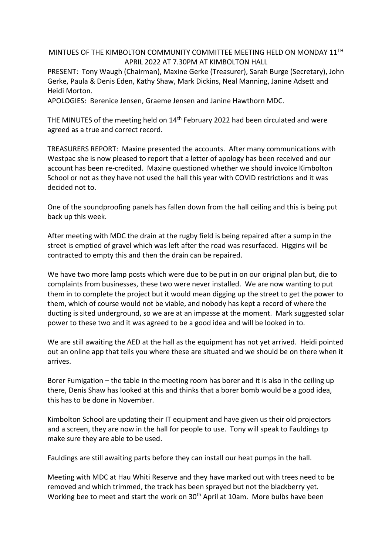## MINTUES OF THE KIMBOLTON COMMUNITY COMMITTEE MEETING HELD ON MONDAY 11TH APRIL 2022 AT 7.30PM AT KIMBOLTON HALL

PRESENT: Tony Waugh (Chairman), Maxine Gerke (Treasurer), Sarah Burge (Secretary), John Gerke, Paula & Denis Eden, Kathy Shaw, Mark Dickins, Neal Manning, Janine Adsett and Heidi Morton.

APOLOGIES: Berenice Jensen, Graeme Jensen and Janine Hawthorn MDC.

THE MINUTES of the meeting held on 14<sup>th</sup> February 2022 had been circulated and were agreed as a true and correct record.

TREASURERS REPORT: Maxine presented the accounts. After many communications with Westpac she is now pleased to report that a letter of apology has been received and our account has been re-credited. Maxine questioned whether we should invoice Kimbolton School or not as they have not used the hall this year with COVID restrictions and it was decided not to.

One of the soundproofing panels has fallen down from the hall ceiling and this is being put back up this week.

After meeting with MDC the drain at the rugby field is being repaired after a sump in the street is emptied of gravel which was left after the road was resurfaced. Higgins will be contracted to empty this and then the drain can be repaired.

We have two more lamp posts which were due to be put in on our original plan but, die to complaints from businesses, these two were never installed. We are now wanting to put them in to complete the project but it would mean digging up the street to get the power to them, which of course would not be viable, and nobody has kept a record of where the ducting is sited underground, so we are at an impasse at the moment. Mark suggested solar power to these two and it was agreed to be a good idea and will be looked in to.

We are still awaiting the AED at the hall as the equipment has not yet arrived. Heidi pointed out an online app that tells you where these are situated and we should be on there when it arrives.

Borer Fumigation – the table in the meeting room has borer and it is also in the ceiling up there, Denis Shaw has looked at this and thinks that a borer bomb would be a good idea, this has to be done in November.

Kimbolton School are updating their IT equipment and have given us their old projectors and a screen, they are now in the hall for people to use. Tony will speak to Fauldings tp make sure they are able to be used.

Fauldings are still awaiting parts before they can install our heat pumps in the hall.

Meeting with MDC at Hau Whiti Reserve and they have marked out with trees need to be removed and which trimmed, the track has been sprayed but not the blackberry yet. Working bee to meet and start the work on 30<sup>th</sup> April at 10am. More bulbs have been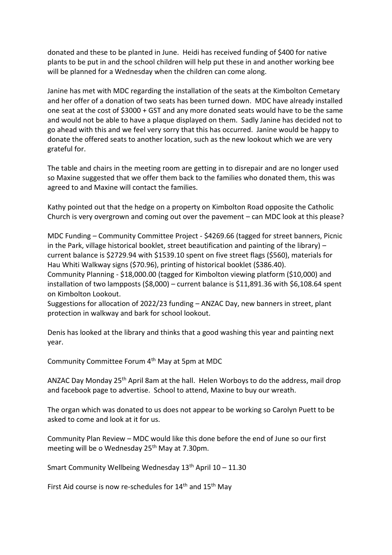donated and these to be planted in June. Heidi has received funding of \$400 for native plants to be put in and the school children will help put these in and another working bee will be planned for a Wednesday when the children can come along.

Janine has met with MDC regarding the installation of the seats at the Kimbolton Cemetary and her offer of a donation of two seats has been turned down. MDC have already installed one seat at the cost of \$3000 + GST and any more donated seats would have to be the same and would not be able to have a plaque displayed on them. Sadly Janine has decided not to go ahead with this and we feel very sorry that this has occurred. Janine would be happy to donate the offered seats to another location, such as the new lookout which we are very grateful for.

The table and chairs in the meeting room are getting in to disrepair and are no longer used so Maxine suggested that we offer them back to the families who donated them, this was agreed to and Maxine will contact the families.

Kathy pointed out that the hedge on a property on Kimbolton Road opposite the Catholic Church is very overgrown and coming out over the pavement – can MDC look at this please?

MDC Funding – Community Committee Project - \$4269.66 (tagged for street banners, Picnic in the Park, village historical booklet, street beautification and painting of the library) – current balance is \$2729.94 with \$1539.10 spent on five street flags (\$560), materials for Hau Whiti Walkway signs (\$70.96), printing of historical booklet (\$386.40).

Community Planning - \$18,000.00 (tagged for Kimbolton viewing platform (\$10,000) and installation of two lampposts (\$8,000) – current balance is \$11,891.36 with \$6,108.64 spent on Kimbolton Lookout.

Suggestions for allocation of 2022/23 funding – ANZAC Day, new banners in street, plant protection in walkway and bark for school lookout.

Denis has looked at the library and thinks that a good washing this year and painting next year.

Community Committee Forum 4th May at 5pm at MDC

ANZAC Day Monday 25th April 8am at the hall. Helen Worboys to do the address, mail drop and facebook page to advertise. School to attend, Maxine to buy our wreath.

The organ which was donated to us does not appear to be working so Carolyn Puett to be asked to come and look at it for us.

Community Plan Review – MDC would like this done before the end of June so our first meeting will be o Wednesday 25<sup>th</sup> May at 7.30pm.

Smart Community Wellbeing Wednesday  $13<sup>th</sup>$  April 10 – 11.30

First Aid course is now re-schedules for  $14<sup>th</sup>$  and  $15<sup>th</sup>$  May